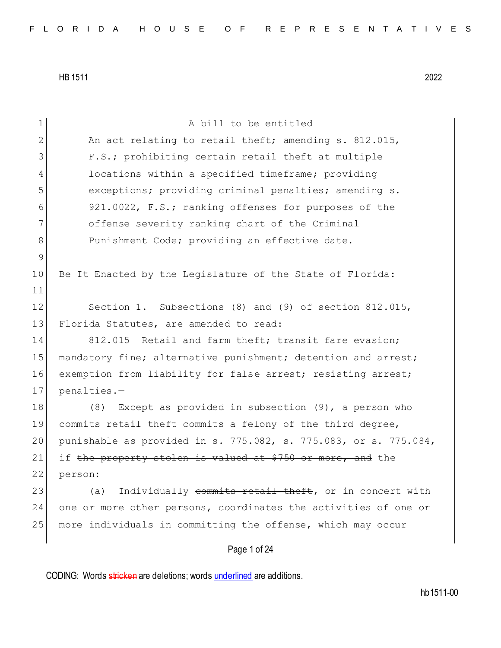| 1           | A bill to be entitled                                            |
|-------------|------------------------------------------------------------------|
| 2           | An act relating to retail theft; amending s. 812.015,            |
| 3           | F.S.; prohibiting certain retail theft at multiple               |
| 4           | locations within a specified timeframe; providing                |
| 5           | exceptions; providing criminal penalties; amending s.            |
| 6           | 921.0022, F.S.; ranking offenses for purposes of the             |
| 7           | offense severity ranking chart of the Criminal                   |
| 8           | Punishment Code; providing an effective date.                    |
| $\mathsf 9$ |                                                                  |
| 10          | Be It Enacted by the Legislature of the State of Florida:        |
| 11          |                                                                  |
| 12          | Section 1. Subsections (8) and (9) of section 812.015,           |
| 13          | Florida Statutes, are amended to read:                           |
| 14          | 812.015 Retail and farm theft; transit fare evasion;             |
| 15          | mandatory fine; alternative punishment; detention and arrest;    |
| 16          | exemption from liability for false arrest; resisting arrest;     |
| 17          | penalties.-                                                      |
| 18          | Except as provided in subsection $(9)$ , a person who<br>(8)     |
| 19          | commits retail theft commits a felony of the third degree,       |
| 20          | punishable as provided in s. 775.082, s. 775.083, or s. 775.084, |
| 21          | if the property stolen is valued at \$750 or more, and the       |
| 22          | person:                                                          |
| 23          | Individually commits retail theft, or in concert with<br>(a)     |
| 24          | one or more other persons, coordinates the activities of one or  |
| 25          | more individuals in committing the offense, which may occur      |
|             |                                                                  |
|             | Page 1 of 24                                                     |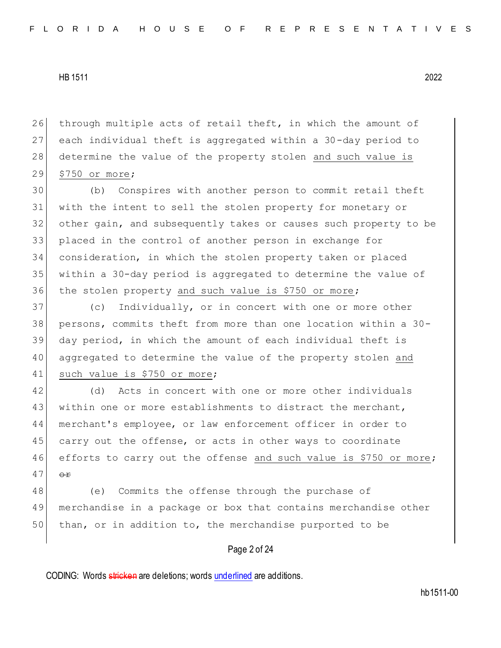26 through multiple acts of retail theft, in which the amount of 27 each individual theft is aggregated within a 30-day period to 28 determine the value of the property stolen and such value is 29 \$750 or more;

 (b) Conspires with another person to commit retail theft with the intent to sell the stolen property for monetary or other gain, and subsequently takes or causes such property to be placed in the control of another person in exchange for consideration, in which the stolen property taken or placed within a 30-day period is aggregated to determine the value of 36 the stolen property and such value is \$750 or more;

 (c) Individually, or in concert with one or more other persons, commits theft from more than one location within a 30- day period, in which the amount of each individual theft is aggregated to determine the value of the property stolen and 41 such value is \$750 or more;

42 (d) Acts in concert with one or more other individuals 43 within one or more establishments to distract the merchant, 44 merchant's employee, or law enforcement officer in order to 45 carry out the offense, or acts in other ways to coordinate 46 efforts to carry out the offense and such value is \$750 or more;  $47 \overline{\smash{\big)}\quad \Theta \pm}$ 

48 (e) Commits the offense through the purchase of 49 merchandise in a package or box that contains merchandise other 50 than, or in addition to, the merchandise purported to be

## Page 2 of 24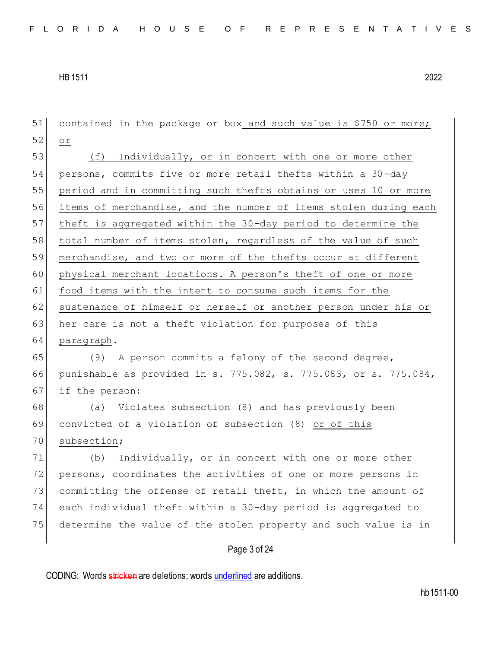| 51 | contained in the package or box and such value is \$750 or more; |
|----|------------------------------------------------------------------|
| 52 | O <sub>T</sub>                                                   |
| 53 | (f) Individually, or in concert with one or more other           |
| 54 | persons, commits five or more retail thefts within a 30-day      |
| 55 | period and in committing such thefts obtains or uses 10 or more  |
| 56 | items of merchandise, and the number of items stolen during each |
| 57 | theft is aggregated within the 30-day period to determine the    |
| 58 | total number of items stolen, regardless of the value of such    |
| 59 | merchandise, and two or more of the thefts occur at different    |
| 60 | physical merchant locations. A person's theft of one or more     |
| 61 | food items with the intent to consume such items for the         |
| 62 | sustenance of himself or herself or another person under his or  |
| 63 | her care is not a theft violation for purposes of this           |
| 64 | paragraph.                                                       |
| 65 | (9) A person commits a felony of the second degree,              |
| 66 | punishable as provided in s. 775.082, s. 775.083, or s. 775.084, |
| 67 | if the person:                                                   |
| 68 | (a) Violates subsection (8) and has previously been              |
| 69 | convicted of a violation of subsection (8) or of this            |
| 70 | subsection;                                                      |
| 71 | Individually, or in concert with one or more other<br>(b)        |
| 72 | persons, coordinates the activities of one or more persons in    |
| 73 | committing the offense of retail theft, in which the amount of   |
| 74 | each individual theft within a 30-day period is aggregated to    |
| 75 | determine the value of the stolen property and such value is in  |
|    | Page 3 of 24                                                     |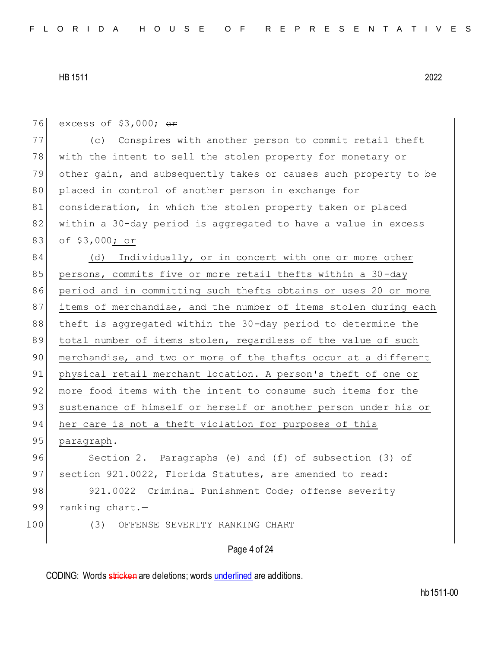Page 4 of 24 76 excess of  $$3,000;$  or 77 (c) Conspires with another person to commit retail theft 78 with the intent to sell the stolen property for monetary or 79 other gain, and subsequently takes or causes such property to be 80 placed in control of another person in exchange for 81 consideration, in which the stolen property taken or placed 82 within a 30-day period is aggregated to have a value in excess 83 of \$3,000; or 84 (d) Individually, or in concert with one or more other 85 persons, commits five or more retail thefts within a 30-day 86 period and in committing such thefts obtains or uses 20 or more 87 items of merchandise, and the number of items stolen during each 88 theft is aggregated within the 30-day period to determine the 89 total number of items stolen, regardless of the value of such 90 merchandise, and two or more of the thefts occur at a different 91 physical retail merchant location. A person's theft of one or 92 more food items with the intent to consume such items for the 93 sustenance of himself or herself or another person under his or 94 her care is not a theft violation for purposes of this 95 paragraph. 96 Section 2. Paragraphs (e) and (f) of subsection (3) of 97 section 921.0022, Florida Statutes, are amended to read: 98 921.0022 Criminal Punishment Code; offense severity 99 ranking chart.-100 (3) OFFENSE SEVERITY RANKING CHART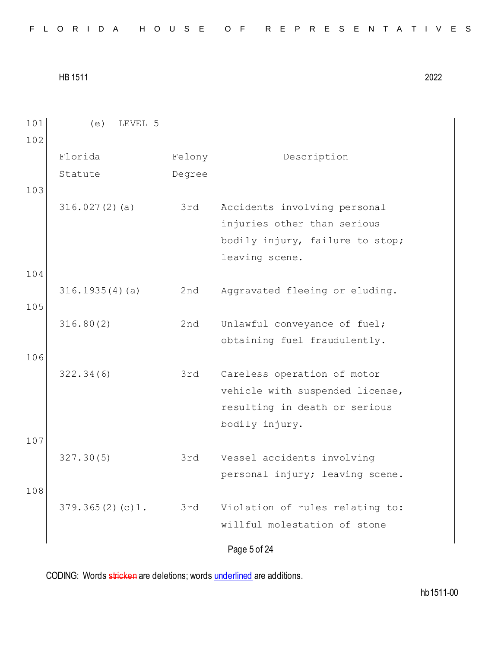| FLORIDA HOUSE OF REPRESENTATIVES |  |  |  |  |  |  |  |  |  |  |  |  |  |  |  |  |  |  |  |  |  |  |  |  |  |  |  |  |  |  |  |
|----------------------------------|--|--|--|--|--|--|--|--|--|--|--|--|--|--|--|--|--|--|--|--|--|--|--|--|--|--|--|--|--|--|--|
|----------------------------------|--|--|--|--|--|--|--|--|--|--|--|--|--|--|--|--|--|--|--|--|--|--|--|--|--|--|--|--|--|--|--|

| 101 | LEVEL 5<br>(e)  |        |                                 |
|-----|-----------------|--------|---------------------------------|
| 102 |                 |        |                                 |
|     | Florida         | Felony | Description                     |
|     | Statute         | Degree |                                 |
| 103 |                 |        |                                 |
|     | 316.027(2)(a)   | 3rd    | Accidents involving personal    |
|     |                 |        | injuries other than serious     |
|     |                 |        | bodily injury, failure to stop; |
|     |                 |        | leaving scene.                  |
| 104 |                 |        |                                 |
|     | 316.1935(4)(a)  | 2nd    | Aggravated fleeing or eluding.  |
| 105 |                 |        |                                 |
|     | 316.80(2)       | 2nd    | Unlawful conveyance of fuel;    |
|     |                 |        | obtaining fuel fraudulently.    |
| 106 |                 |        |                                 |
|     | 322.34(6)       | 3rd    | Careless operation of motor     |
|     |                 |        | vehicle with suspended license, |
|     |                 |        | resulting in death or serious   |
|     |                 |        | bodily injury.                  |
| 107 |                 |        |                                 |
|     | 327.30(5)       | 3rd    | Vessel accidents involving      |
|     |                 |        | personal injury; leaving scene. |
| 108 |                 |        |                                 |
|     | 379.365(2)(c)1. | 3rd    | Violation of rules relating to: |
|     |                 |        | willful molestation of stone    |
|     |                 |        | Page 5 of 24                    |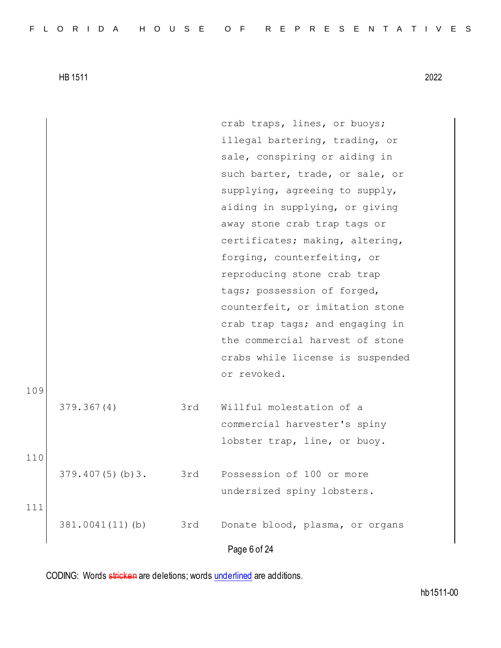Page 6 of 24 crab traps, lines, or buoys; illegal bartering, trading, or sale, conspiring or aiding in such barter, trade, or sale, or supplying, agreeing to supply, aiding in supplying, or giving away stone crab trap tags or certificates; making, altering, forging, counterfeiting, or reproducing stone crab trap tags; possession of forged, counterfeit, or imitation stone crab trap tags; and engaging in the commercial harvest of stone crabs while license is suspended or revoked. 109 379.367(4) 3rd Willful molestation of a commercial harvester's spiny lobster trap, line, or buoy. 110 379.407(5)(b)3. 3rd Possession of 100 or more undersized spiny lobsters. 111 381.0041(11)(b) 3rd Donate blood, plasma, or organs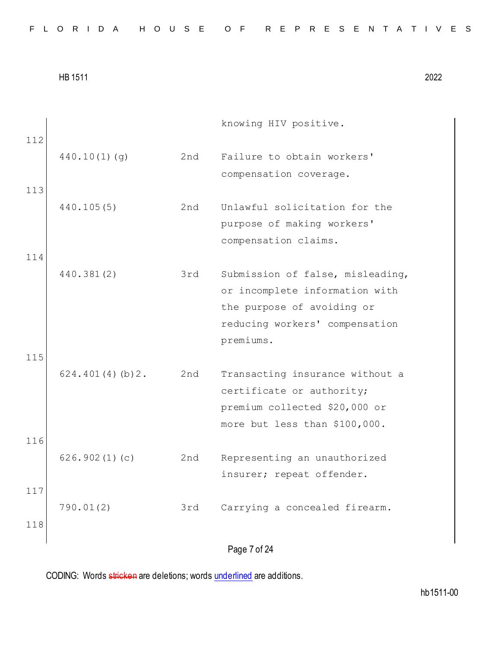|  |  |  |  |  |  |  |  |  | FLORIDA HOUSE OF REPRESENTATIVES |  |  |  |  |  |  |  |  |  |  |  |  |  |  |  |
|--|--|--|--|--|--|--|--|--|----------------------------------|--|--|--|--|--|--|--|--|--|--|--|--|--|--|--|
|--|--|--|--|--|--|--|--|--|----------------------------------|--|--|--|--|--|--|--|--|--|--|--|--|--|--|--|

Page 7 of 24 knowing HIV positive. 112 440.10(1)(g) 2nd Failure to obtain workers' compensation coverage. 113 440.105(5) 2nd Unlawful solicitation for the purpose of making workers' compensation claims. 114 440.381(2) 3rd Submission of false, misleading, or incomplete information with the purpose of avoiding or reducing workers' compensation premiums. 115 624.401(4)(b)2. 2nd Transacting insurance without a certificate or authority; premium collected \$20,000 or more but less than \$100,000. 116 626.902(1)(c) 2nd Representing an unauthorized insurer; repeat offender. 117 790.01(2) 3rd Carrying a concealed firearm. 118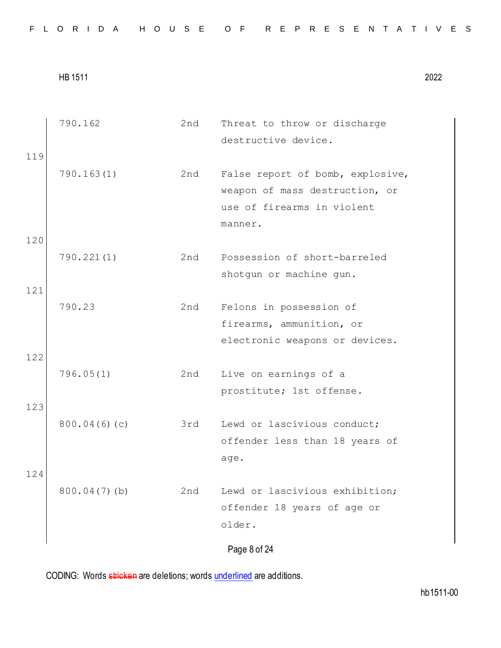|  |  |  |  |  |  |  |  |  |  |  |  |  | FLORIDA HOUSE OF REPRESENTATIVES |  |  |  |  |  |  |  |  |  |  |  |  |  |  |  |  |
|--|--|--|--|--|--|--|--|--|--|--|--|--|----------------------------------|--|--|--|--|--|--|--|--|--|--|--|--|--|--|--|--|
|--|--|--|--|--|--|--|--|--|--|--|--|--|----------------------------------|--|--|--|--|--|--|--|--|--|--|--|--|--|--|--|--|

|     | 790.162         | 2nd | Threat to throw or discharge     |
|-----|-----------------|-----|----------------------------------|
|     |                 |     | destructive device.              |
| 119 |                 |     |                                  |
|     | 790.163(1)      | 2nd | False report of bomb, explosive, |
|     |                 |     | weapon of mass destruction, or   |
|     |                 |     | use of firearms in violent       |
|     |                 |     | manner.                          |
| 120 |                 |     |                                  |
|     | 790.221(1)      | 2nd | Possession of short-barreled     |
|     |                 |     | shotgun or machine gun.          |
| 121 |                 |     |                                  |
|     | 790.23          | 2nd | Felons in possession of          |
|     |                 |     | firearms, ammunition, or         |
|     |                 |     | electronic weapons or devices.   |
| 122 |                 |     |                                  |
|     | 796.05(1)       | 2nd | Live on earnings of a            |
|     |                 |     | prostitute; 1st offense.         |
| 123 |                 |     |                                  |
|     | 800.04(6)(c)    | 3rd | Lewd or lascivious conduct;      |
|     |                 |     | offender less than 18 years of   |
|     |                 |     | age.                             |
| 124 |                 |     |                                  |
|     | $800.04(7)$ (b) | 2nd | Lewd or lascivious exhibition;   |
|     |                 |     | offender 18 years of age or      |
|     |                 |     | older.                           |
|     |                 |     | Page 8 of 24                     |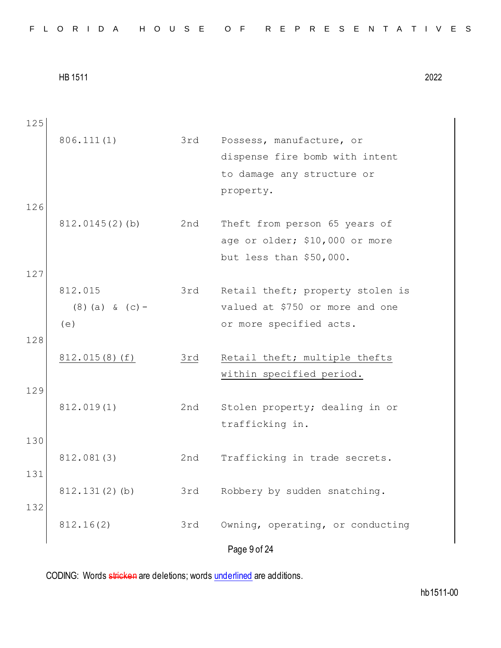Page 9 of 24 125 806.111(1) 3rd Possess, manufacture, or dispense fire bomb with intent to damage any structure or property. 126 812.0145(2)(b) 2nd Theft from person 65 years of age or older; \$10,000 or more but less than \$50,000. 127 812.015 (8)(a) & (c)-  $(e)$ 3rd Retail theft; property stolen is valued at \$750 or more and one or more specified acts. 128 812.015(8)(f) 3rd Retail theft; multiple thefts within specified period. 129 812.019(1) 2nd Stolen property; dealing in or trafficking in. 130 812.081(3) 2nd Trafficking in trade secrets. 131 812.131(2)(b) 3rd Robbery by sudden snatching. 132 812.16(2) 3rd Owning, operating, or conducting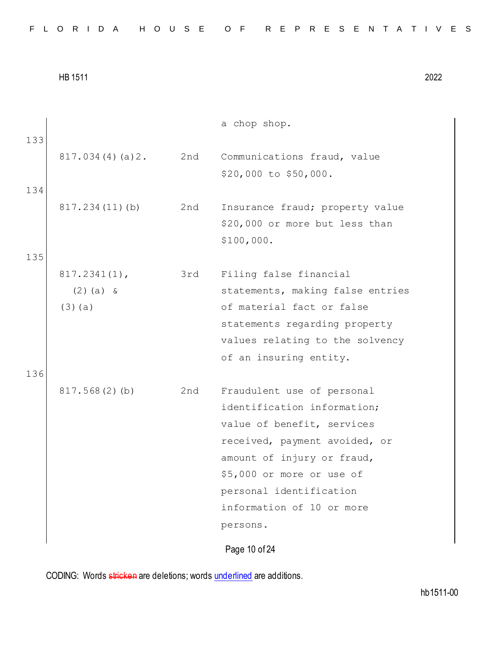|  |  |  |  |  |  |  |  |  | FLORIDA HOUSE OF REPRESENTATIVES |  |  |  |  |  |  |  |  |  |  |  |  |  |  |  |
|--|--|--|--|--|--|--|--|--|----------------------------------|--|--|--|--|--|--|--|--|--|--|--|--|--|--|--|
|--|--|--|--|--|--|--|--|--|----------------------------------|--|--|--|--|--|--|--|--|--|--|--|--|--|--|--|

| 133 |                 |     | a chop shop.                                         |
|-----|-----------------|-----|------------------------------------------------------|
|     | 817.034(4)(a)2. | 2nd | Communications fraud, value<br>\$20,000 to \$50,000. |
| 134 |                 |     |                                                      |
|     | 817.234(11)(b)  | 2nd | Insurance fraud; property value                      |
|     |                 |     | \$20,000 or more but less than                       |
|     |                 |     | \$100,000.                                           |
| 135 |                 |     |                                                      |
|     | $817.2341(1)$ , | 3rd | Filing false financial                               |
|     | $(2)$ (a) &     |     | statements, making false entries                     |
|     | $(3)$ (a)       |     | of material fact or false                            |
|     |                 |     | statements regarding property                        |
|     |                 |     | values relating to the solvency                      |
|     |                 |     | of an insuring entity.                               |
| 136 |                 |     |                                                      |
|     | 817.568(2)(b)   | 2nd | Fraudulent use of personal                           |
|     |                 |     | identification information;                          |
|     |                 |     | value of benefit, services                           |
|     |                 |     | received, payment avoided, or                        |
|     |                 |     | amount of injury or fraud,                           |
|     |                 |     | \$5,000 or more or use of                            |
|     |                 |     | personal identification                              |
|     |                 |     | information of 10 or more                            |
|     |                 |     | persons.                                             |
|     |                 |     |                                                      |

Page 10 of 24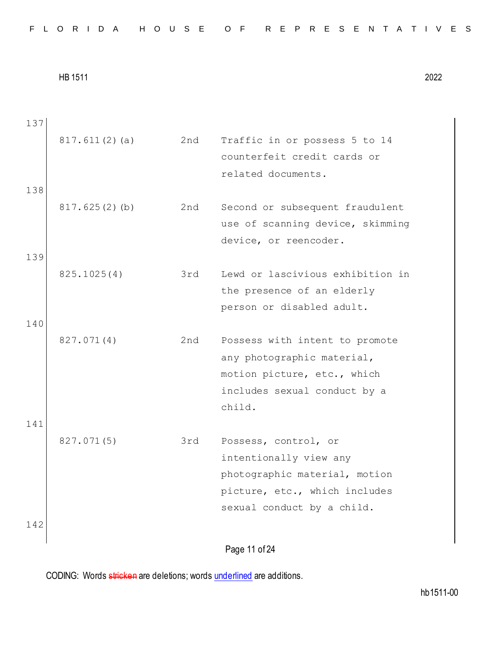| 137 |               |     |                                  |
|-----|---------------|-----|----------------------------------|
|     | 817.611(2)(a) | 2nd | Traffic in or possess 5 to 14    |
|     |               |     | counterfeit credit cards or      |
|     |               |     | related documents.               |
| 138 |               |     |                                  |
|     | 817.625(2)(b) | 2nd | Second or subsequent fraudulent  |
|     |               |     | use of scanning device, skimming |
|     |               |     | device, or reencoder.            |
| 139 |               |     |                                  |
|     | 825.1025(4)   | 3rd | Lewd or lascivious exhibition in |
|     |               |     | the presence of an elderly       |
|     |               |     | person or disabled adult.        |
| 140 |               |     |                                  |
|     | 827.071(4)    | 2nd | Possess with intent to promote   |
|     |               |     | any photographic material,       |
|     |               |     | motion picture, etc., which      |
|     |               |     | includes sexual conduct by a     |
|     |               |     | child.                           |
| 141 |               |     |                                  |
|     | 827.071(5)    | 3rd | Possess, control, or             |
|     |               |     | intentionally view any           |
|     |               |     | photographic material, motion    |
|     |               |     | picture, etc., which includes    |
|     |               |     | sexual conduct by a child.       |
| 142 |               |     |                                  |
|     |               |     | Page 11 of 24                    |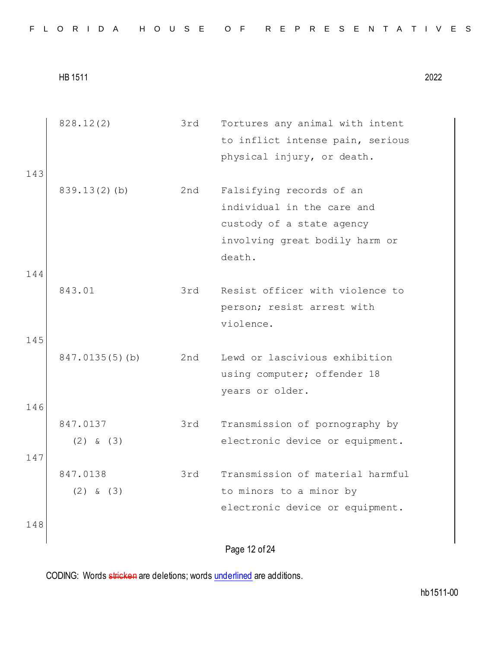|  |  |  |  |  |  |  |  |  |  |  |  |  | FLORIDA HOUSE OF REPRESENTATIVES |  |  |  |  |  |  |  |  |  |  |  |  |  |  |  |  |
|--|--|--|--|--|--|--|--|--|--|--|--|--|----------------------------------|--|--|--|--|--|--|--|--|--|--|--|--|--|--|--|--|
|--|--|--|--|--|--|--|--|--|--|--|--|--|----------------------------------|--|--|--|--|--|--|--|--|--|--|--|--|--|--|--|--|

|     | 828.12(2)       | 3rd | Tortures any animal with intent  |
|-----|-----------------|-----|----------------------------------|
|     |                 |     | to inflict intense pain, serious |
|     |                 |     | physical injury, or death.       |
| 143 |                 |     |                                  |
|     | $839.13(2)$ (b) | 2nd | Falsifying records of an         |
|     |                 |     | individual in the care and       |
|     |                 |     | custody of a state agency        |
|     |                 |     | involving great bodily harm or   |
|     |                 |     | death.                           |
| 144 |                 |     |                                  |
|     | 843.01          | 3rd | Resist officer with violence to  |
|     |                 |     | person; resist arrest with       |
|     |                 |     | violence.                        |
| 145 |                 |     |                                  |
|     | 847.0135(5)(b)  | 2nd | Lewd or lascivious exhibition    |
|     |                 |     | using computer; offender 18      |
|     |                 |     | years or older.                  |
| 146 |                 |     |                                  |
|     | 847.0137        | 3rd | Transmission of pornography by   |
|     | $(2)$ & $(3)$   |     | electronic device or equipment.  |
| 147 |                 |     |                                  |
|     | 847.0138        | 3rd | Transmission of material harmful |
|     | $(2)$ & $(3)$   |     | to minors to a minor by          |
|     |                 |     | electronic device or equipment.  |
| 148 |                 |     |                                  |
|     |                 |     |                                  |
|     |                 |     | Page 12 of 24                    |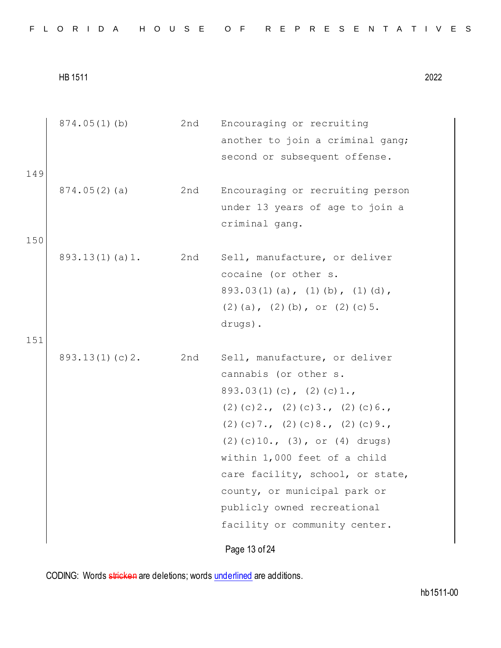|  |  |  |  |  |  |  |  |  |  | FLORIDA HOUSE OF REPRESENTATIVES |  |  |  |  |  |  |  |  |  |  |  |  |  |  |  |
|--|--|--|--|--|--|--|--|--|--|----------------------------------|--|--|--|--|--|--|--|--|--|--|--|--|--|--|--|
|--|--|--|--|--|--|--|--|--|--|----------------------------------|--|--|--|--|--|--|--|--|--|--|--|--|--|--|--|

|            | $874.05(1)$ (b)    | 2nd | Encouraging or recruiting<br>another to join a criminal gang;<br>second or subsequent offense.                                                                                                                                                                                                                                                                                            |
|------------|--------------------|-----|-------------------------------------------------------------------------------------------------------------------------------------------------------------------------------------------------------------------------------------------------------------------------------------------------------------------------------------------------------------------------------------------|
| 149<br>150 | 874.05(2)(a)       | 2nd | Encouraging or recruiting person<br>under 13 years of age to join a<br>criminal gang.                                                                                                                                                                                                                                                                                                     |
| 151        | $893.13(1)$ (a) 1. | 2nd | Sell, manufacture, or deliver<br>cocaine (or other s.<br>$893.03(1)$ (a), (1) (b), (1) (d),<br>$(2)$ (a), $(2)$ (b), or $(2)$ (c) 5.<br>drugs).                                                                                                                                                                                                                                           |
|            | 893.13(1)(c)2.     | 2nd | Sell, manufacture, or deliver<br>cannabis (or other s.<br>$893.03(1)(c)$ , $(2)(c)1.$<br>$(2)$ (c) $2.$ , (2) (c) $3.$ , (2) (c) $6.$ ,<br>$(2)$ (c) 7., (2) (c) 8., (2) (c) 9.,<br>$(2)$ (c) 10., (3), or (4) drugs)<br>within 1,000 feet of a child<br>care facility, school, or state,<br>county, or municipal park or<br>publicly owned recreational<br>facility or community center. |
|            |                    |     | Page 13 of 24                                                                                                                                                                                                                                                                                                                                                                             |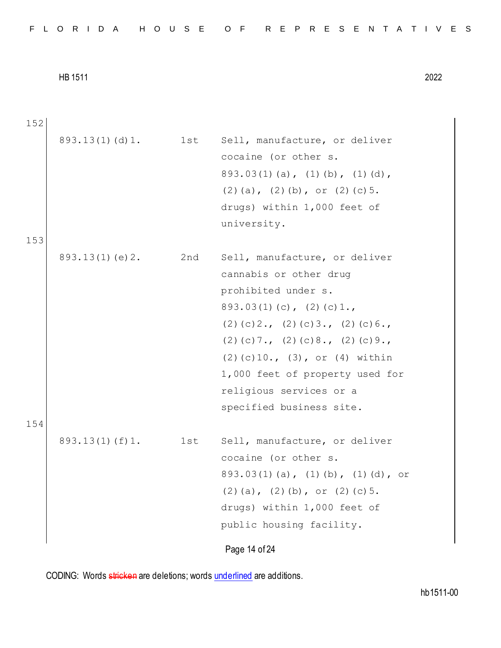|  |  |  |  |  |  |  |  |  |  | FLORIDA HOUSE OF REPRESENTATIVES |  |  |  |  |  |  |  |  |  |  |  |  |  |  |  |
|--|--|--|--|--|--|--|--|--|--|----------------------------------|--|--|--|--|--|--|--|--|--|--|--|--|--|--|--|
|--|--|--|--|--|--|--|--|--|--|----------------------------------|--|--|--|--|--|--|--|--|--|--|--|--|--|--|--|

Page 14 of 24 152 893.13(1)(d)1. 1st Sell, manufacture, or deliver cocaine (or other s. 893.03(1)(a), (1)(b), (1)(d),  $(2)(a)$ ,  $(2)(b)$ , or  $(2)(c)5$ . drugs) within 1,000 feet of university. 153 893.13(1)(e)2. 2nd Sell, manufacture, or deliver cannabis or other drug prohibited under s.  $893.03(1)(c), (2)(c)1.,$ (2)(c)2., (2)(c)3., (2)(c)6., (2)(c)7., (2)(c)8., (2)(c)9., (2)(c)10., (3), or (4) within 1,000 feet of property used for religious services or a specified business site. 154 893.13(1)(f)1. 1st Sell, manufacture, or deliver cocaine (or other s. 893.03(1)(a), (1)(b), (1)(d), or  $(2)(a)$ ,  $(2)(b)$ , or  $(2)(c)5$ . drugs) within 1,000 feet of public housing facility.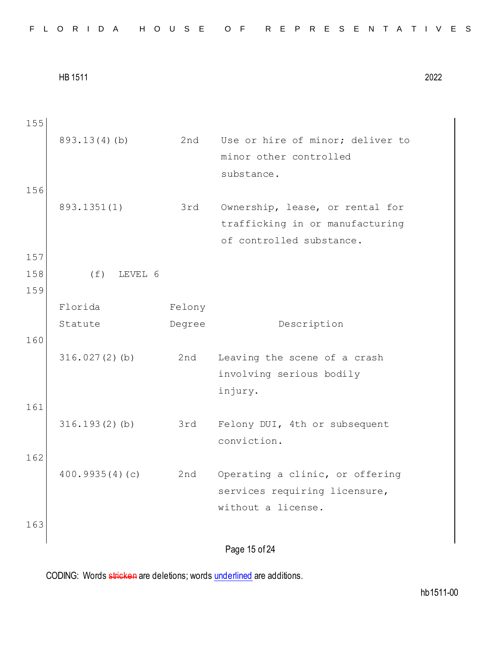Page 15 of 24 155 893.13(4)(b) 2nd Use or hire of minor; deliver to minor other controlled substance. 156 893.1351(1) 3rd Ownership, lease, or rental for trafficking in or manufacturing of controlled substance. 157 158 (f) LEVEL 6 159 Florida Statute Felony Degree Description 160 316.027(2)(b) 2nd Leaving the scene of a crash involving serious bodily injury. 161 316.193(2)(b) 3rd Felony DUI, 4th or subsequent conviction. 162 400.9935(4)(c) 2nd Operating a clinic, or offering services requiring licensure, without a license. 163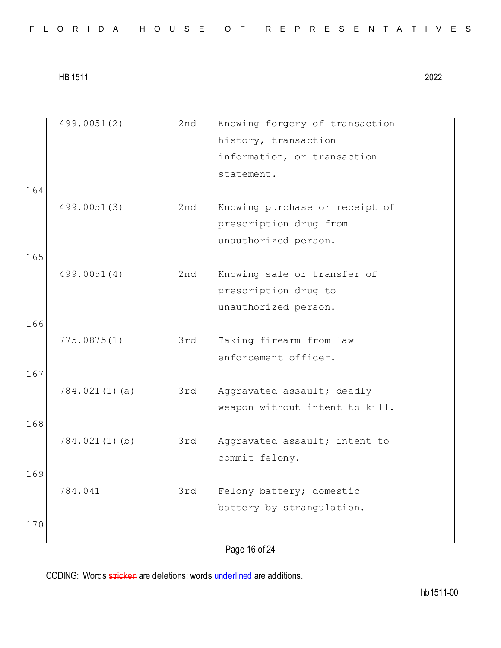|  |  |  |  |  |  |  |  |  |  |  | FLORIDA HOUSE OF REPRESENTATIVES |  |  |  |  |  |  |  |  |  |  |  |  |  |  |  |  |
|--|--|--|--|--|--|--|--|--|--|--|----------------------------------|--|--|--|--|--|--|--|--|--|--|--|--|--|--|--|--|
|--|--|--|--|--|--|--|--|--|--|--|----------------------------------|--|--|--|--|--|--|--|--|--|--|--|--|--|--|--|--|

|     | 499.0051(2)   | 2nd | Knowing forgery of transaction<br>history, transaction |
|-----|---------------|-----|--------------------------------------------------------|
|     |               |     | information, or transaction                            |
|     |               |     | statement.                                             |
| 164 |               |     |                                                        |
|     | 499.0051(3)   | 2nd | Knowing purchase or receipt of                         |
|     |               |     | prescription drug from                                 |
|     |               |     | unauthorized person.                                   |
| 165 |               |     |                                                        |
|     | 499.0051(4)   | 2nd | Knowing sale or transfer of                            |
|     |               |     | prescription drug to                                   |
|     |               |     | unauthorized person.                                   |
| 166 |               |     |                                                        |
|     |               |     |                                                        |
|     | 775.0875(1)   | 3rd | Taking firearm from law                                |
|     |               |     | enforcement officer.                                   |
| 167 |               |     |                                                        |
|     | 784.021(1)(a) | 3rd | Aggravated assault; deadly                             |
|     |               |     | weapon without intent to kill.                         |
| 168 |               |     |                                                        |
|     | 784.021(1)(b) | 3rd | Aggravated assault; intent to                          |
|     |               |     | commit felony.                                         |
| 169 |               |     |                                                        |
|     | 784.041       | 3rd | Felony battery; domestic                               |
|     |               |     | battery by strangulation.                              |
|     |               |     |                                                        |
| 170 |               |     |                                                        |
|     |               |     | Page 16 of 24                                          |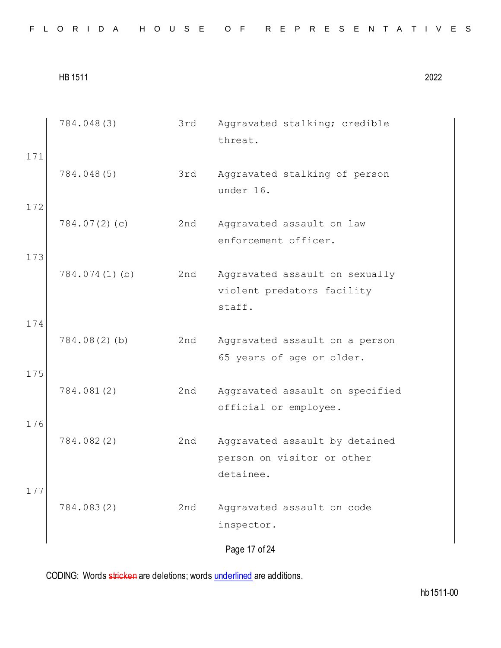|  |  |  |  |  | FLORIDA HOUSE OF REPRESENTATIVES |  |
|--|--|--|--|--|----------------------------------|--|
|--|--|--|--|--|----------------------------------|--|

|            | 784.048(3)       | 3rd | Aggravated stalking; credible<br>threat.                                  |
|------------|------------------|-----|---------------------------------------------------------------------------|
| 171<br>172 | 784.048(5)       | 3rd | Aggravated stalking of person<br>under 16.                                |
|            | 784.07(2)(c)     | 2nd | Aggravated assault on law<br>enforcement officer.                         |
| 173        | $784.074(1)$ (b) | 2nd | Aggravated assault on sexually<br>violent predators facility<br>staff.    |
| 174<br>175 | $784.08(2)$ (b)  | 2nd | Aggravated assault on a person<br>65 years of age or older.               |
|            | 784.081(2)       | 2nd | Aggravated assault on specified<br>official or employee.                  |
| 176        | 784.082(2)       | 2nd | Aggravated assault by detained<br>person on visitor or other<br>detainee. |
| 177        | 784.083(2)       | 2nd | Aggravated assault on code<br>inspector.                                  |
|            |                  |     | Page 17 of 24                                                             |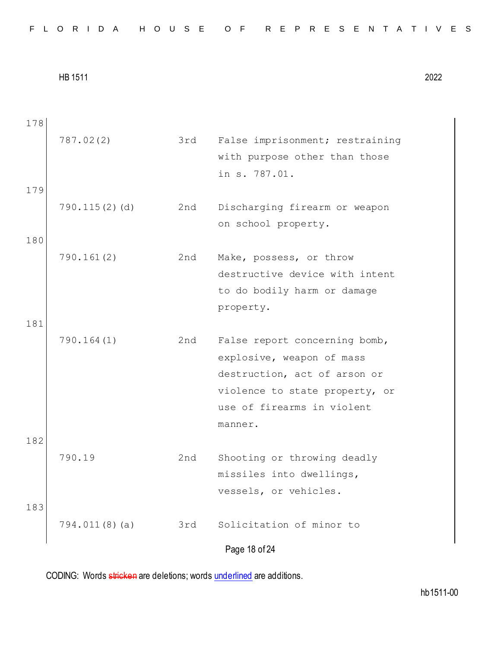| FLORIDA HOUSE OF REPRESENTATIVES |  |
|----------------------------------|--|
|----------------------------------|--|

Page 18 of 24 178 787.02(2) 3rd False imprisonment; restraining with purpose other than those in s. 787.01. 179 790.115(2)(d) 2nd Discharging firearm or weapon on school property. 180 790.161(2) 2nd Make, possess, or throw destructive device with intent to do bodily harm or damage property. 181 790.164(1) 2nd False report concerning bomb, explosive, weapon of mass destruction, act of arson or violence to state property, or use of firearms in violent manner. 182 790.19 2nd Shooting or throwing deadly missiles into dwellings, vessels, or vehicles. 183 794.011(8)(a) 3rd Solicitation of minor to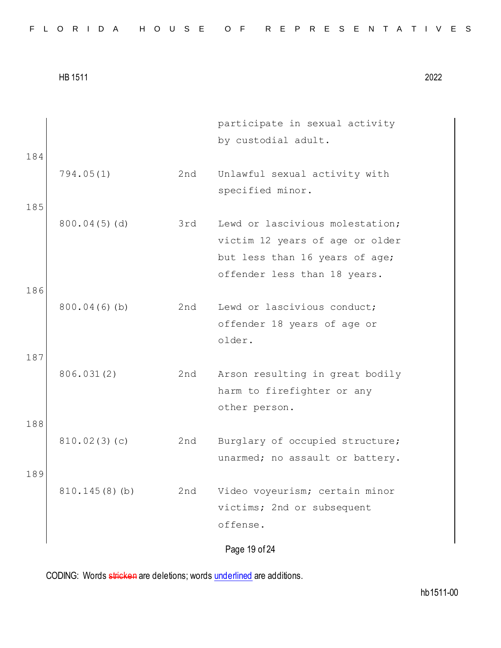|  |  |  | FLORIDA HOUSE OF REPRESENTATIVES |  |  |  |  |  |  |  |  |  |  |  |  |  |  |  |  |  |  |  |  |  |
|--|--|--|----------------------------------|--|--|--|--|--|--|--|--|--|--|--|--|--|--|--|--|--|--|--|--|--|
|--|--|--|----------------------------------|--|--|--|--|--|--|--|--|--|--|--|--|--|--|--|--|--|--|--|--|--|

| 184 |                 |     | participate in sexual activity<br>by custodial adult.                                                                                |
|-----|-----------------|-----|--------------------------------------------------------------------------------------------------------------------------------------|
|     | 794.05(1)       | 2nd | Unlawful sexual activity with<br>specified minor.                                                                                    |
| 185 | $800.04(5)$ (d) | 3rd | Lewd or lascivious molestation;<br>victim 12 years of age or older<br>but less than 16 years of age;<br>offender less than 18 years. |
| 186 | $800.04(6)$ (b) | 2nd | Lewd or lascivious conduct;                                                                                                          |
| 187 |                 |     | offender 18 years of age or<br>older.                                                                                                |
|     | 806.031(2)      | 2nd | Arson resulting in great bodily<br>harm to firefighter or any<br>other person.                                                       |
| 188 |                 |     |                                                                                                                                      |
|     | 810.02(3)(c)    | 2nd | Burglary of occupied structure;<br>unarmed; no assault or battery.                                                                   |
| 189 | 810.145(8)(b)   | 2nd | Video voyeurism; certain minor<br>victims; 2nd or subsequent<br>offense.                                                             |
|     |                 |     | Page 19 of 24                                                                                                                        |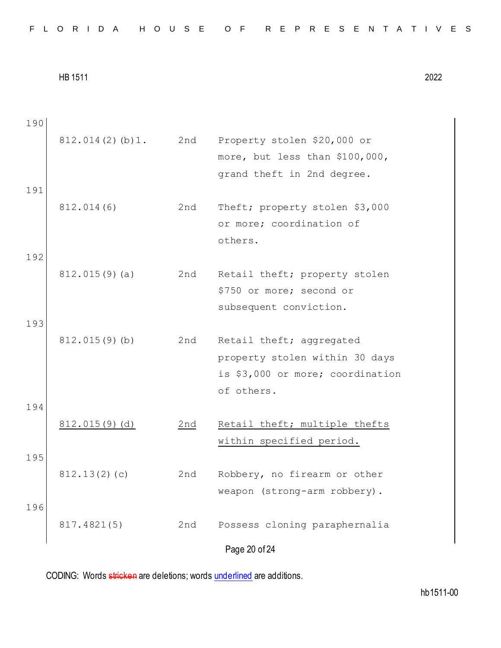| 190 |                  |     |                                                           |
|-----|------------------|-----|-----------------------------------------------------------|
|     | 812.014(2)(b)1.  | 2nd | Property stolen \$20,000 or                               |
|     |                  |     | more, but less than \$100,000,                            |
|     |                  |     | grand theft in 2nd degree.                                |
| 191 |                  |     |                                                           |
|     | 812.014(6)       | 2nd | Theft; property stolen \$3,000                            |
|     |                  |     | or more; coordination of                                  |
|     |                  |     | others.                                                   |
| 192 |                  |     |                                                           |
|     | $812.015(9)$ (a) | 2nd | Retail theft; property stolen                             |
|     |                  |     | \$750 or more; second or                                  |
|     |                  |     | subsequent conviction.                                    |
| 193 |                  |     |                                                           |
|     | 812.015(9)(b)    | 2nd | Retail theft; aggregated                                  |
|     |                  |     | property stolen within 30 days                            |
|     |                  |     | is \$3,000 or more; coordination                          |
|     |                  |     | of others.                                                |
| 194 |                  |     |                                                           |
|     | 812.015(9)(d)    | 2nd | Retail theft; multiple thefts<br>within specified period. |
| 195 |                  |     |                                                           |
|     | 812.13(2)(c)     | 2nd | Robbery, no firearm or other                              |
|     |                  |     | weapon (strong-arm robbery).                              |
| 196 |                  |     |                                                           |
|     | 817.4821(5)      | 2nd | Possess cloning paraphernalia                             |
|     |                  |     |                                                           |
|     |                  |     | Page 20 of 24                                             |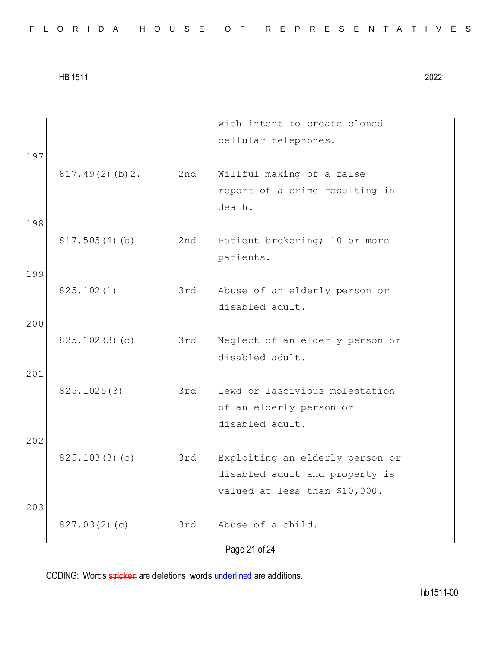|  |  |  |  |  |  |  |  |  |  | FLORIDA HOUSE OF REPRESENTATIVES |  |  |  |  |  |  |  |  |  |  |  |  |  |  |  |
|--|--|--|--|--|--|--|--|--|--|----------------------------------|--|--|--|--|--|--|--|--|--|--|--|--|--|--|--|
|--|--|--|--|--|--|--|--|--|--|----------------------------------|--|--|--|--|--|--|--|--|--|--|--|--|--|--|--|

| 197        |                    |     | with intent to create cloned<br>cellular telephones.                                               |
|------------|--------------------|-----|----------------------------------------------------------------------------------------------------|
|            | $817.49(2)$ (b) 2. | 2nd | Willful making of a false<br>report of a crime resulting in<br>death.                              |
| 198        | 817.505(4)(b)      | 2nd | Patient brokering; 10 or more<br>patients.                                                         |
| 199<br>200 | 825.102(1)         | 3rd | Abuse of an elderly person or<br>disabled adult.                                                   |
| 201        | 825.102(3)(c)      | 3rd | Neglect of an elderly person or<br>disabled adult.                                                 |
|            | 825.1025(3)        | 3rd | Lewd or lascivious molestation<br>of an elderly person or<br>disabled adult.                       |
| 202        | 825.103(3)(c)      | 3rd | Exploiting an elderly person or<br>disabled adult and property is<br>valued at less than \$10,000. |
| 203        | 827.03(2)(c)       | 3rd | Abuse of a child.<br>Page 21 of 24                                                                 |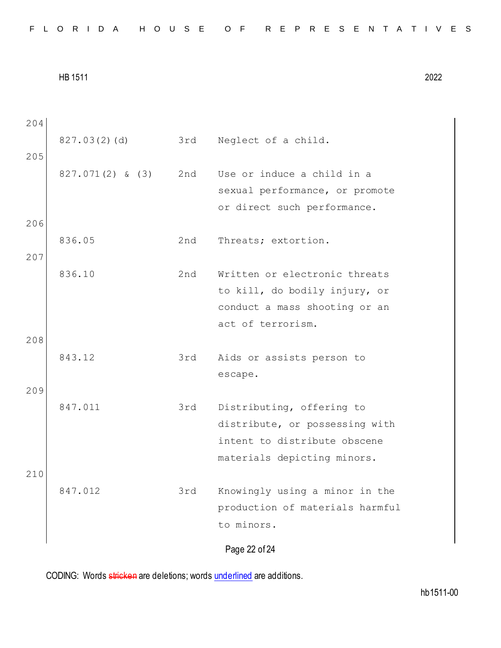Page 22 of 24 204 827.03(2)(d) 3rd Neglect of a child. 205 827.071(2) & (3) 2nd Use or induce a child in a sexual performance, or promote or direct such performance. 206 836.05 2nd Threats; extortion. 207 836.10 2nd Written or electronic threats to kill, do bodily injury, or conduct a mass shooting or an act of terrorism. 208 843.12 3rd Aids or assists person to escape. 209 847.011 3rd Distributing, offering to distribute, or possessing with intent to distribute obscene materials depicting minors. 210 847.012 3rd Knowingly using a minor in the production of materials harmful to minors.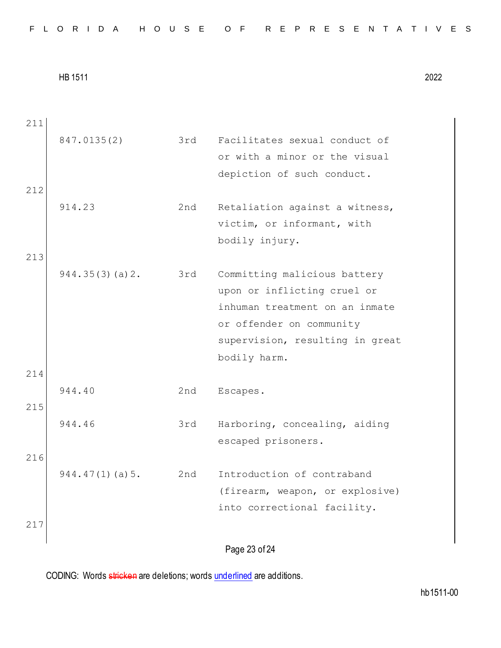Page 23 of 24 211 847.0135(2) 3rd Facilitates sexual conduct of or with a minor or the visual depiction of such conduct. 212 914.23 2nd Retaliation against a witness, victim, or informant, with bodily injury. 213 944.35(3)(a)2. 3rd Committing malicious battery upon or inflicting cruel or inhuman treatment on an inmate or offender on community supervision, resulting in great bodily harm. 214 944.40 2nd Escapes. 215 944.46 3rd Harboring, concealing, aiding escaped prisoners. 216 944.47(1)(a)5. 2nd Introduction of contraband (firearm, weapon, or explosive) into correctional facility. 217